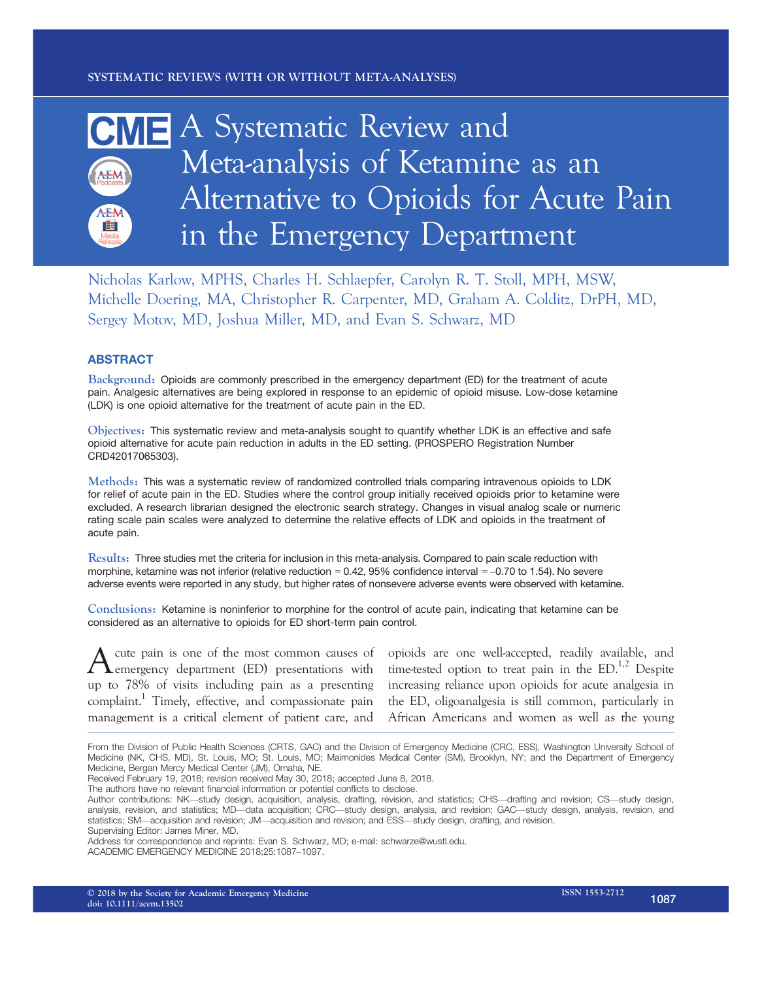# CME A Systematic Review and Meta-analysis of Ketamine as an AEM Alternative to Opioids for Acute Pain AEN **Exit** in the Emergency Department

Nicholas Karlow, MPHS, Charles H. Schlaepfer, Carolyn R. T. Stoll, MPH, MSW, Michelle Doering, MA, Christopher R. Carpenter, MD, Graham A. Colditz, DrPH, MD, Sergey Motov, MD, Joshua Miller, MD, and Evan S. Schwarz, MD

# ABSTRACT

Background: Opioids are commonly prescribed in the emergency department (ED) for the treatment of acute pain. Analgesic alternatives are being explored in response to an epidemic of opioid misuse. Low-dose ketamine (LDK) is one opioid alternative for the treatment of acute pain in the ED.

Objectives: This systematic review and meta-analysis sought to quantify whether LDK is an effective and safe opioid alternative for acute pain reduction in adults in the ED setting. (PROSPERO Registration Number CRD42017065303).

Methods: This was a systematic review of randomized controlled trials comparing intravenous opioids to LDK for relief of acute pain in the ED. Studies where the control group initially received opioids prior to ketamine were excluded. A research librarian designed the electronic search strategy. Changes in visual analog scale or numeric rating scale pain scales were analyzed to determine the relative effects of LDK and opioids in the treatment of acute pain.

Results: Three studies met the criteria for inclusion in this meta-analysis. Compared to pain scale reduction with morphine, ketamine was not inferior (relative reduction = 0.42, 95% confidence interval = –0.70 to 1.54). No severe adverse events were reported in any study, but higher rates of nonsevere adverse events were observed with ketamine.

Conclusions: Ketamine is noninferior to morphine for the control of acute pain, indicating that ketamine can be considered as an alternative to opioids for ED short-term pain control.

A emergency department (ED) presentations with up to 78% of visits including pain as a presenting complaint.<sup>1</sup> Timely, effective, and compassionate pain management is a critical element of patient care, and

cute pain is one of the most common causes of opioids are one well-accepted, readily available, and time-tested option to treat pain in the  $ED^{1,2}$  Despite increasing reliance upon opioids for acute analgesia in the ED, oligoanalgesia is still common, particularly in African Americans and women as well as the young

Address for correspondence and reprints: Evan S. Schwarz, MD; e-mail: schwarze@wustl.edu.

From the Division of Public Health Sciences (CRTS, GAC) and the Division of Emergency Medicine (CRC, ESS), Washington University School of Medicine (NK, CHS, MD), St. Louis, MO; St. Louis, MO; Maimonides Medical Center (SM), Brooklyn, NY; and the Department of Emergency Medicine, Bergan Mercy Medical Center (JM), Omaha, NE.

Received February 19, 2018; revision received May 30, 2018; accepted June 8, 2018.

The authors have no relevant financial information or potential conflicts to disclose.

Author contributions: NK—study design, acquisition, analysis, drafting, revision, and statistics; CHS—drafting and revision; CS—study design, analysis, revision, and statistics; MD—data acquisition; CRC—study design, analysis, and revision; GAC—study design, analysis, revision, and statistics; SM—acquisition and revision; JM—acquisition and revision; and ESS—study design, drafting, and revision. Supervising Editor: James Miner, MD.

ACADEMIC EMERGENCY MEDICINE 2018;25:1087–1097.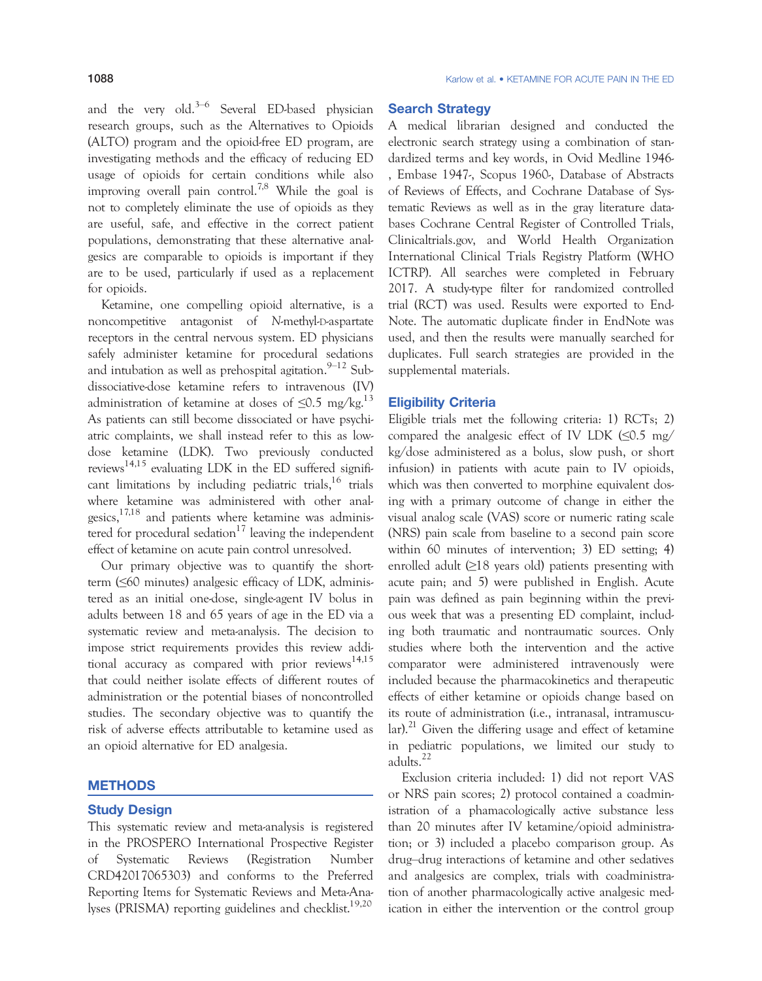and the very old.<sup>3–6</sup> Several ED-based physician research groups, such as the Alternatives to Opioids (ALTO) program and the opioid-free ED program, are investigating methods and the efficacy of reducing ED usage of opioids for certain conditions while also improving overall pain control.<sup>7,8</sup> While the goal is not to completely eliminate the use of opioids as they are useful, safe, and effective in the correct patient populations, demonstrating that these alternative analgesics are comparable to opioids is important if they are to be used, particularly if used as a replacement for opioids.

Ketamine, one compelling opioid alternative, is a noncompetitive antagonist of N-methyl-D-aspartate receptors in the central nervous system. ED physicians safely administer ketamine for procedural sedations and intubation as well as prehospital agitation.  $9-12$  Subdissociative-dose ketamine refers to intravenous (IV) administration of ketamine at doses of  $\leq 0.5$  mg/kg.<sup>13</sup> As patients can still become dissociated or have psychiatric complaints, we shall instead refer to this as lowdose ketamine (LDK). Two previously conducted reviews<sup>14,15</sup> evaluating LDK in the ED suffered significant limitations by including pediatric trials,  $16$  trials where ketamine was administered with other analgesics, $17,18$  and patients where ketamine was administered for procedural sedation<sup>17</sup> leaving the independent effect of ketamine on acute pain control unresolved.

Our primary objective was to quantify the shortterm (≤60 minutes) analgesic efficacy of LDK, administered as an initial one-dose, single-agent IV bolus in adults between 18 and 65 years of age in the ED via a systematic review and meta-analysis. The decision to impose strict requirements provides this review additional accuracy as compared with prior reviews<sup>14,15</sup> that could neither isolate effects of different routes of administration or the potential biases of noncontrolled studies. The secondary objective was to quantify the risk of adverse effects attributable to ketamine used as an opioid alternative for ED analgesia.

# **METHODS**

#### Study Design

This systematic review and meta-analysis is registered in the PROSPERO International Prospective Register of Systematic Reviews (Registration Number CRD42017065303) and conforms to the Preferred Reporting Items for Systematic Reviews and Meta-Analyses (PRISMA) reporting guidelines and checklist.<sup>19,20</sup>

### Search Strategy

A medical librarian designed and conducted the electronic search strategy using a combination of standardized terms and key words, in Ovid Medline 1946- , Embase 1947-, Scopus 1960-, Database of Abstracts of Reviews of Effects, and Cochrane Database of Systematic Reviews as well as in the gray literature databases Cochrane Central Register of Controlled Trials, Clinicaltrials.gov, and World Health Organization International Clinical Trials Registry Platform (WHO ICTRP). All searches were completed in February 2017. A study-type filter for randomized controlled trial (RCT) was used. Results were exported to End-Note. The automatic duplicate finder in EndNote was used, and then the results were manually searched for duplicates. Full search strategies are provided in the supplemental materials.

#### Eligibility Criteria

Eligible trials met the following criteria: 1) RCTs; 2) compared the analgesic effect of IV LDK  $(\leq 0.5 \text{ mg}/$ kg/dose administered as a bolus, slow push, or short infusion) in patients with acute pain to IV opioids, which was then converted to morphine equivalent dosing with a primary outcome of change in either the visual analog scale (VAS) score or numeric rating scale (NRS) pain scale from baseline to a second pain score within 60 minutes of intervention; 3) ED setting; 4) enrolled adult  $(≥18$  years old) patients presenting with acute pain; and 5) were published in English. Acute pain was defined as pain beginning within the previous week that was a presenting ED complaint, including both traumatic and nontraumatic sources. Only studies where both the intervention and the active comparator were administered intravenously were included because the pharmacokinetics and therapeutic effects of either ketamine or opioids change based on its route of administration (i.e., intranasal, intramuscular).<sup>21</sup> Given the differing usage and effect of ketamine in pediatric populations, we limited our study to adults.<sup>22</sup>

Exclusion criteria included: 1) did not report VAS or NRS pain scores; 2) protocol contained a coadministration of a phamacologically active substance less than 20 minutes after IV ketamine/opioid administration; or 3) included a placebo comparison group. As drug–drug interactions of ketamine and other sedatives and analgesics are complex, trials with coadministration of another pharmacologically active analgesic medication in either the intervention or the control group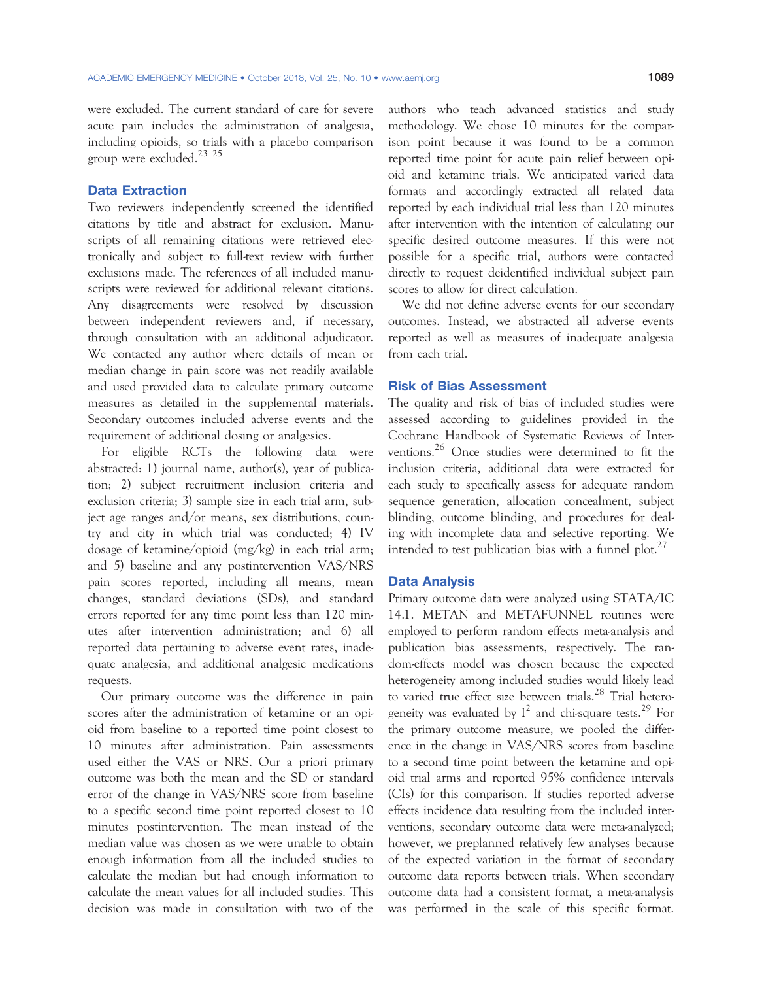were excluded. The current standard of care for severe acute pain includes the administration of analgesia, including opioids, so trials with a placebo comparison group were excluded.23–<sup>25</sup>

#### Data Extraction

Two reviewers independently screened the identified citations by title and abstract for exclusion. Manuscripts of all remaining citations were retrieved electronically and subject to full-text review with further exclusions made. The references of all included manuscripts were reviewed for additional relevant citations. Any disagreements were resolved by discussion between independent reviewers and, if necessary, through consultation with an additional adjudicator. We contacted any author where details of mean or median change in pain score was not readily available and used provided data to calculate primary outcome measures as detailed in the supplemental materials. Secondary outcomes included adverse events and the requirement of additional dosing or analgesics.

For eligible RCTs the following data were abstracted: 1) journal name, author(s), year of publication; 2) subject recruitment inclusion criteria and exclusion criteria; 3) sample size in each trial arm, subject age ranges and/or means, sex distributions, country and city in which trial was conducted; 4) IV dosage of ketamine/opioid (mg/kg) in each trial arm; and 5) baseline and any postintervention VAS/NRS pain scores reported, including all means, mean changes, standard deviations (SDs), and standard errors reported for any time point less than 120 minutes after intervention administration; and 6) all reported data pertaining to adverse event rates, inadequate analgesia, and additional analgesic medications requests.

Our primary outcome was the difference in pain scores after the administration of ketamine or an opioid from baseline to a reported time point closest to 10 minutes after administration. Pain assessments used either the VAS or NRS. Our a priori primary outcome was both the mean and the SD or standard error of the change in VAS/NRS score from baseline to a specific second time point reported closest to 10 minutes postintervention. The mean instead of the median value was chosen as we were unable to obtain enough information from all the included studies to calculate the median but had enough information to calculate the mean values for all included studies. This decision was made in consultation with two of the authors who teach advanced statistics and study methodology. We chose 10 minutes for the comparison point because it was found to be a common reported time point for acute pain relief between opioid and ketamine trials. We anticipated varied data formats and accordingly extracted all related data reported by each individual trial less than 120 minutes after intervention with the intention of calculating our specific desired outcome measures. If this were not possible for a specific trial, authors were contacted directly to request deidentified individual subject pain scores to allow for direct calculation.

We did not define adverse events for our secondary outcomes. Instead, we abstracted all adverse events reported as well as measures of inadequate analgesia from each trial.

#### Risk of Bias Assessment

The quality and risk of bias of included studies were assessed according to guidelines provided in the Cochrane Handbook of Systematic Reviews of Interventions.<sup>26</sup> Once studies were determined to fit the inclusion criteria, additional data were extracted for each study to specifically assess for adequate random sequence generation, allocation concealment, subject blinding, outcome blinding, and procedures for dealing with incomplete data and selective reporting. We intended to test publication bias with a funnel plot.<sup>27</sup>

#### Data Analysis

Primary outcome data were analyzed using STATA/IC 14.1. METAN and METAFUNNEL routines were employed to perform random effects meta-analysis and publication bias assessments, respectively. The random-effects model was chosen because the expected heterogeneity among included studies would likely lead to varied true effect size between trials.<sup>28</sup> Trial heterogeneity was evaluated by  $I^2$  and chi-square tests.<sup>29</sup> For the primary outcome measure, we pooled the difference in the change in VAS/NRS scores from baseline to a second time point between the ketamine and opioid trial arms and reported 95% confidence intervals (CIs) for this comparison. If studies reported adverse effects incidence data resulting from the included interventions, secondary outcome data were meta-analyzed; however, we preplanned relatively few analyses because of the expected variation in the format of secondary outcome data reports between trials. When secondary outcome data had a consistent format, a meta-analysis was performed in the scale of this specific format.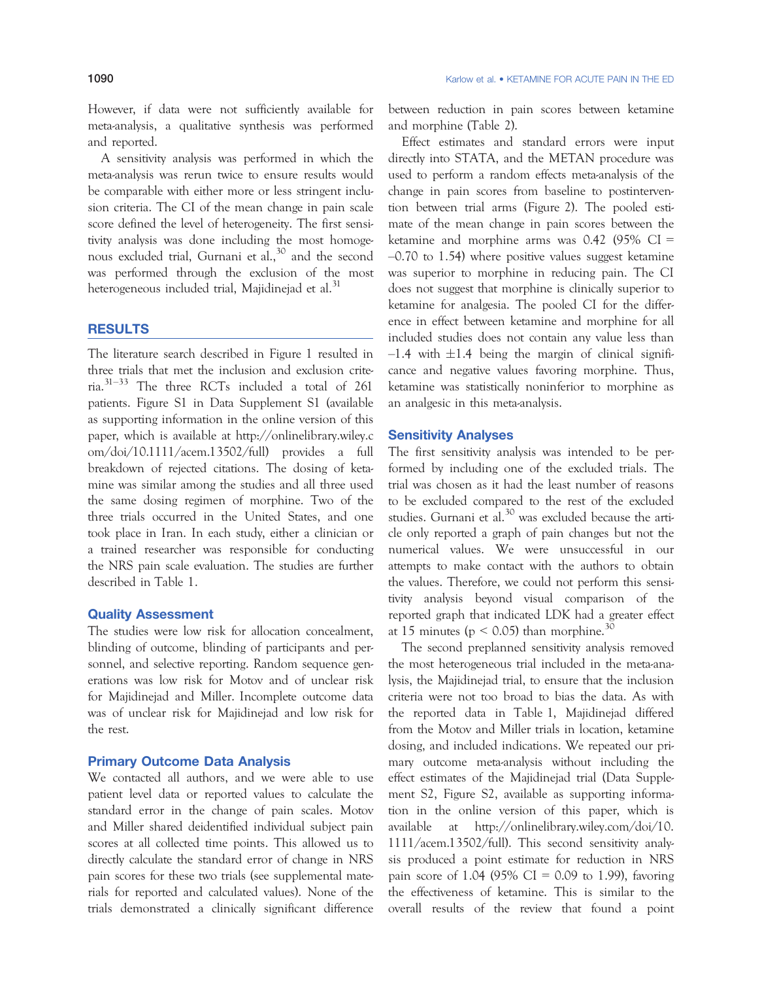However, if data were not sufficiently available for meta-analysis, a qualitative synthesis was performed and reported.

A sensitivity analysis was performed in which the meta-analysis was rerun twice to ensure results would be comparable with either more or less stringent inclusion criteria. The CI of the mean change in pain scale score defined the level of heterogeneity. The first sensitivity analysis was done including the most homogenous excluded trial, Gurnani et al.,<sup>30</sup> and the second was performed through the exclusion of the most heterogeneous included trial, Majidinejad et al.<sup>31</sup>

# RESULTS

The literature search described in Figure 1 resulted in three trials that met the inclusion and exclusion criteria.31–<sup>33</sup> The three RCTs included a total of 261 patients. Figure S1 in Data Supplement S1 (available as supporting information in the online version of this paper, which is available at http://onlinelibrary.wiley.c om/doi/10.1111/acem.13502/full) provides a full breakdown of rejected citations. The dosing of ketamine was similar among the studies and all three used the same dosing regimen of morphine. Two of the three trials occurred in the United States, and one took place in Iran. In each study, either a clinician or a trained researcher was responsible for conducting the NRS pain scale evaluation. The studies are further described in Table 1.

#### Quality Assessment

The studies were low risk for allocation concealment, blinding of outcome, blinding of participants and personnel, and selective reporting. Random sequence generations was low risk for Motov and of unclear risk for Majidinejad and Miller. Incomplete outcome data was of unclear risk for Majidinejad and low risk for the rest.

#### Primary Outcome Data Analysis

We contacted all authors, and we were able to use patient level data or reported values to calculate the standard error in the change of pain scales. Motov and Miller shared deidentified individual subject pain scores at all collected time points. This allowed us to directly calculate the standard error of change in NRS pain scores for these two trials (see supplemental materials for reported and calculated values). None of the trials demonstrated a clinically significant difference between reduction in pain scores between ketamine and morphine (Table 2).

Effect estimates and standard errors were input directly into STATA, and the METAN procedure was used to perform a random effects meta-analysis of the change in pain scores from baseline to postintervention between trial arms (Figure 2). The pooled estimate of the mean change in pain scores between the ketamine and morphine arms was  $0.42$  (95% CI = –0.70 to 1.54) where positive values suggest ketamine was superior to morphine in reducing pain. The CI does not suggest that morphine is clinically superior to ketamine for analgesia. The pooled CI for the difference in effect between ketamine and morphine for all included studies does not contain any value less than  $-1.4$  with  $\pm 1.4$  being the margin of clinical significance and negative values favoring morphine. Thus, ketamine was statistically noninferior to morphine as an analgesic in this meta-analysis.

#### Sensitivity Analyses

The first sensitivity analysis was intended to be performed by including one of the excluded trials. The trial was chosen as it had the least number of reasons to be excluded compared to the rest of the excluded studies. Gurnani et al. $30$  was excluded because the article only reported a graph of pain changes but not the numerical values. We were unsuccessful in our attempts to make contact with the authors to obtain the values. Therefore, we could not perform this sensitivity analysis beyond visual comparison of the reported graph that indicated LDK had a greater effect at 15 minutes ( $p < 0.05$ ) than morphine.<sup>30</sup>

The second preplanned sensitivity analysis removed the most heterogeneous trial included in the meta-analysis, the Majidinejad trial, to ensure that the inclusion criteria were not too broad to bias the data. As with the reported data in Table 1, Majidinejad differed from the Motov and Miller trials in location, ketamine dosing, and included indications. We repeated our primary outcome meta-analysis without including the effect estimates of the Majidinejad trial (Data Supplement S2, Figure S2, available as supporting information in the online version of this paper, which is available at http://onlinelibrary.wiley.com/doi/10. 1111/acem.13502/full). This second sensitivity analysis produced a point estimate for reduction in NRS pain score of 1.04 (95% CI = 0.09 to 1.99), favoring the effectiveness of ketamine. This is similar to the overall results of the review that found a point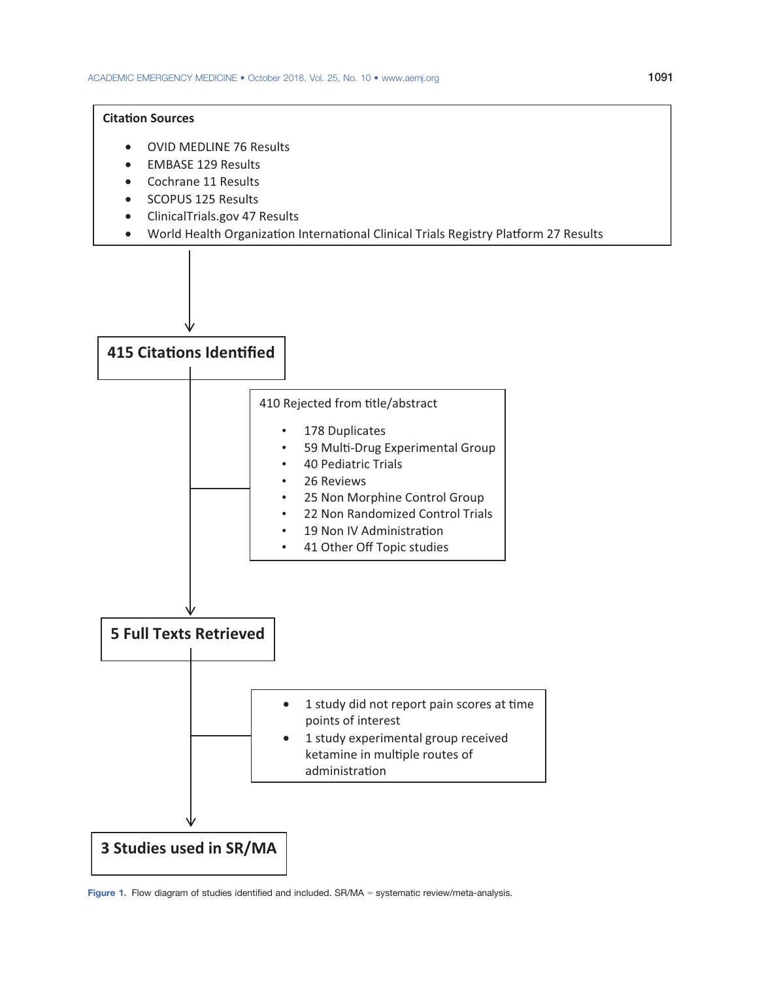### **Citation Sources**

- OVID MEDLINE 76 Results
- EMBASE 129 Results
- Cochrane 11 Results
- SCOPUS 125 Results
- ClinicalTrials.gov 47 Results
- World Health Organization International Clinical Trials Registry Platform 27 Results

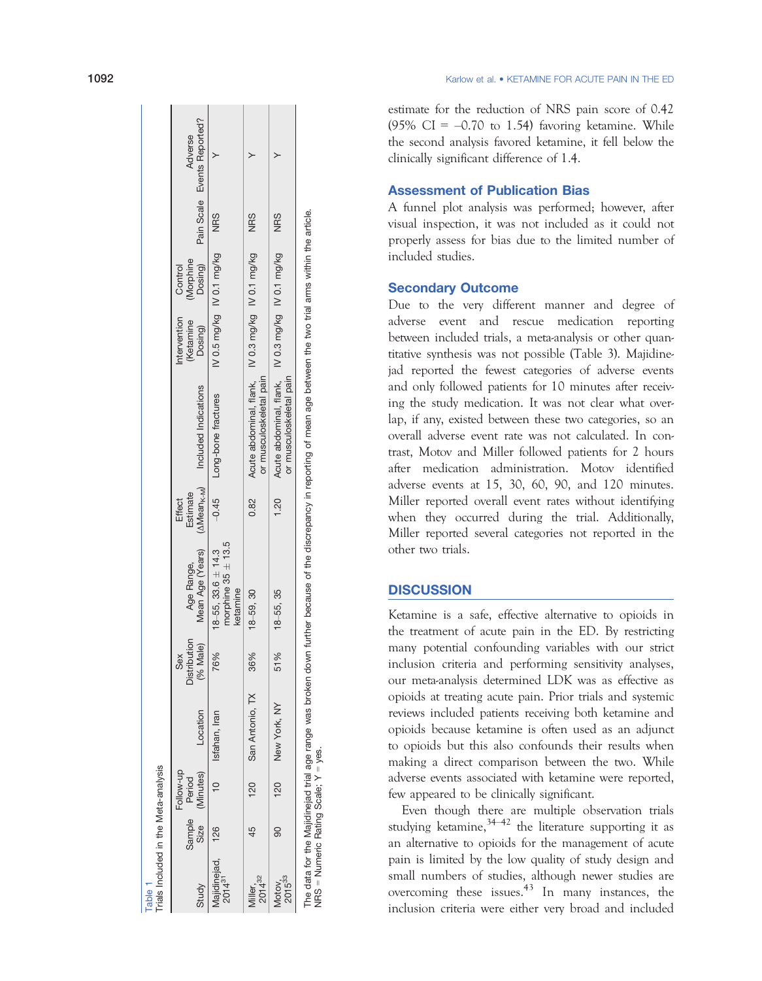| Trials Included in the Meta-analysis |                |                                  |                  |                                 |                                                                                          |                           |                                                                                                                                                                         |                                 |            |                                                                    |
|--------------------------------------|----------------|----------------------------------|------------------|---------------------------------|------------------------------------------------------------------------------------------|---------------------------|-------------------------------------------------------------------------------------------------------------------------------------------------------------------------|---------------------------------|------------|--------------------------------------------------------------------|
| Study                                | Sample<br>Size | Follow-up<br>(Minutes)<br>Period | Location         | Distribution<br>(% Male)<br>Sex | Mean Age (Years)<br>Age Range,                                                           | Estimate<br><b>Effect</b> | (AMean <sub>K-M</sub> ) Included Indications                                                                                                                            | Intervention Control<br>Dosing) |            | (Ketamine (Morphine<br>Dosing) Dosing) Pain-Scale Events-Reported? |
| Majidinejad, 126<br>$2014^{31}$      |                |                                  | 10 Isfahan, Iran | 76%                             | 18-55, 33.6 $\pm$ 14.3 $-0.45$ Long-bone fractures<br>morphine $35 \pm 13.5$<br>cetamine |                           |                                                                                                                                                                         | IV 0.5 mg/kg IV 0.1 mg/kg NRS   |            |                                                                    |
| Miller,<br>2014 <sup>32</sup>        | 45             | 120                              | San Antonio, TX  | 36%                             | $18 - 59, 30$                                                                            | 0.82                      | or musculoskeletal pain                                                                                                                                                 |                                 | <b>NRS</b> |                                                                    |
| $2015^{33}$<br>Motov,                | 8              | 120                              | New York, NY     | 51%                             | $18 - 55, 35$                                                                            | 1.20                      | Acute abdominal, flank,    N 0.3 mg/kg    N 0.1 mg/kg<br>or musculoskeletal pain                                                                                        |                                 | <b>NRS</b> |                                                                    |
|                                      |                |                                  |                  |                                 |                                                                                          |                           | The data for the Majidinejad trial age range was broken down further because of the discrepancy in reporting of mean age between the two trial arms within the article. |                                 |            |                                                                    |

Table 1

NRS = Numeric Rating Scale; Y = yes.  $NRS =$  Numeric Rating Scale;  $Y = yes$ 

1092 Karlow et al. Karlow et al. • KETAMINE FOR ACUTE PAIN IN THE ED

> estimate for the reduction of NRS pain score of 0.42 (95% CI =  $-0.70$  to 1.54) favoring ketamine. While the second analysis favored ketamine, it fell below the clinically significant difference of 1.4.

## Assessment of Publication Bias

A funnel plot analysis was performed; however, after visual inspection, it was not included as it could not properly assess for bias due to the limited number of included studies.

#### Secondary Outcome

Due to the very different manner and degree of adverse event and rescue medication reporting between included trials, a meta-analysis or other quantitative synthesis was not possible (Table 3). Majidinejad reported the fewest categories of adverse events and only followed patients for 10 minutes after receiving the study medication. It was not clear what overlap, if any, existed between these two categories, so an overall adverse event rate was not calculated. In contrast, Motov and Miller followed patients for 2 hours after medication administration. Motov identified adverse events at 15, 30, 60, 90, and 120 minutes. Miller reported overall event rates without identifying when they occurred during the trial. Additionally, Miller reported several categories not reported in the other two trials.

#### **DISCUSSION**

Ketamine is a safe, effective alternative to opioids in the treatment of acute pain in the ED. By restricting many potential confounding variables with our strict inclusion criteria and performing sensitivity analyses, our meta-analysis determined LDK was as effective as opioids at treating acute pain. Prior trials and systemic reviews included patients receiving both ketamine and opioids because ketamine is often used as an adjunct to opioids but this also confounds their results when making a direct comparison between the two. While adverse events associated with ketamine were reported, few appeared to be clinically significant.

Even though there are multiple observation trials studying ketamine,  $34-42$  the literature supporting it as an alternative to opioids for the management of acute pain is limited by the low quality of study design and small numbers of studies, although newer studies are overcoming these issues. $43$  In many instances, the inclusion criteria were either very broad and included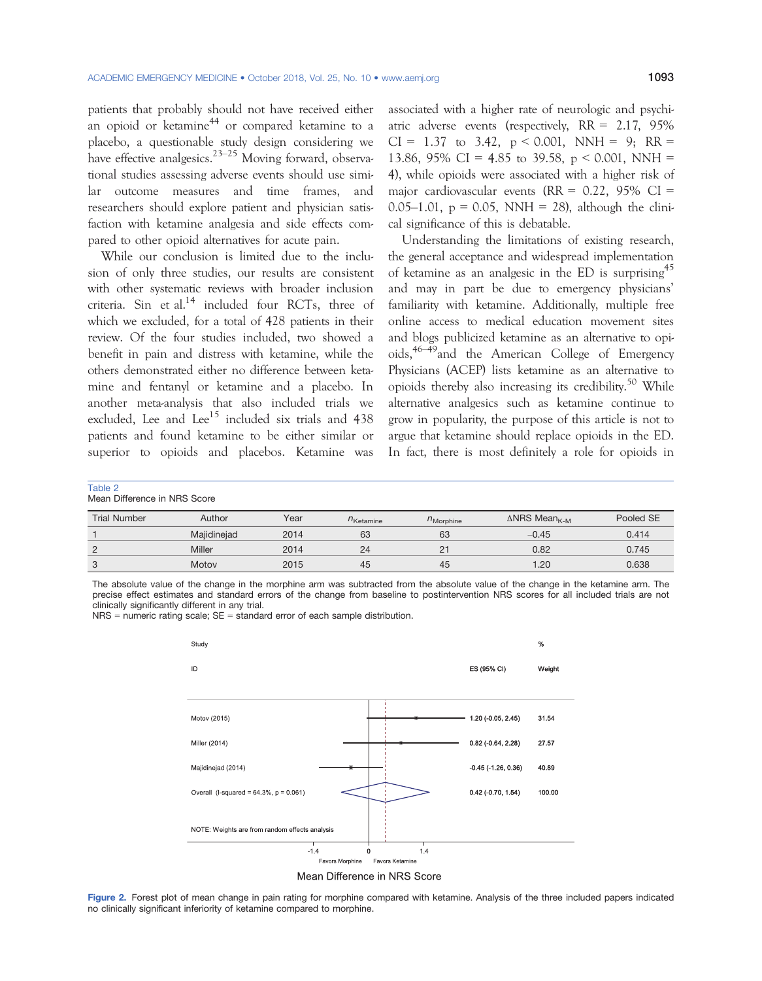patients that probably should not have received either an opioid or ketamine<sup>44</sup> or compared ketamine to a placebo, a questionable study design considering we have effective analgesics.<sup>23–25</sup> Moving forward, observational studies assessing adverse events should use similar outcome measures and time frames, and researchers should explore patient and physician satisfaction with ketamine analgesia and side effects compared to other opioid alternatives for acute pain.

While our conclusion is limited due to the inclusion of only three studies, our results are consistent with other systematic reviews with broader inclusion criteria. Sin et al. $14$  included four RCTs, three of which we excluded, for a total of 428 patients in their review. Of the four studies included, two showed a benefit in pain and distress with ketamine, while the others demonstrated either no difference between ketamine and fentanyl or ketamine and a placebo. In another meta-analysis that also included trials we excluded. Lee and Lee<sup>15</sup> included six trials and  $438$ patients and found ketamine to be either similar or superior to opioids and placebos. Ketamine was

associated with a higher rate of neurologic and psychiatric adverse events (respectively, RR = 2.17, 95%  $CI = 1.37$  to 3.42,  $p \le 0.001$ ,  $NNH = 9$ ;  $RR =$ 13.86, 95% CI = 4.85 to 39.58,  $p \le 0.001$ , NNH = 4), while opioids were associated with a higher risk of major cardiovascular events  $(RR = 0.22, 95\% \text{ CI} =$ 0.05–1.01,  $p = 0.05$ , NNH = 28), although the clinical significance of this is debatable.

Understanding the limitations of existing research, the general acceptance and widespread implementation of ketamine as an analgesic in the ED is surprising<sup>45</sup> and may in part be due to emergency physicians' familiarity with ketamine. Additionally, multiple free online access to medical education movement sites and blogs publicized ketamine as an alternative to opioids, $46-49$  and the American College of Emergency Physicians (ACEP) lists ketamine as an alternative to opioids thereby also increasing its credibility.<sup>50</sup> While alternative analgesics such as ketamine continue to grow in popularity, the purpose of this article is not to argue that ketamine should replace opioids in the ED. In fact, there is most definitely a role for opioids in

Table 2 Mean Difference in NRS Score

| <b>Trial Number</b> | Author      | Year | $n_{\text{Ketamine}}$ | $n_{\text{Morphine}}$ | $\triangle$ NRS Mean <sub>K-M</sub> | Pooled SE |
|---------------------|-------------|------|-----------------------|-----------------------|-------------------------------------|-----------|
|                     | Majidinejad | 2014 | 63                    | 63                    | $-0.45$                             | 0.414     |
| $\sim$              | Miller      | 2014 | 24                    | つっ<br>$\epsilon$      | 0.82                                | 0.745     |
| ◡                   | Motov       | 2015 | 45                    | 45                    | 20. ا                               | 0.638     |

The absolute value of the change in the morphine arm was subtracted from the absolute value of the change in the ketamine arm. The precise effect estimates and standard errors of the change from baseline to postintervention NRS scores for all included trials are not clinically significantly different in any trial.

 $NRS$  = numeric rating scale;  $SE$  = standard error of each sample distribution.



Mean Difference in NRS Score

Figure 2. Forest plot of mean change in pain rating for morphine compared with ketamine. Analysis of the three included papers indicated no clinically significant inferiority of ketamine compared to morphine.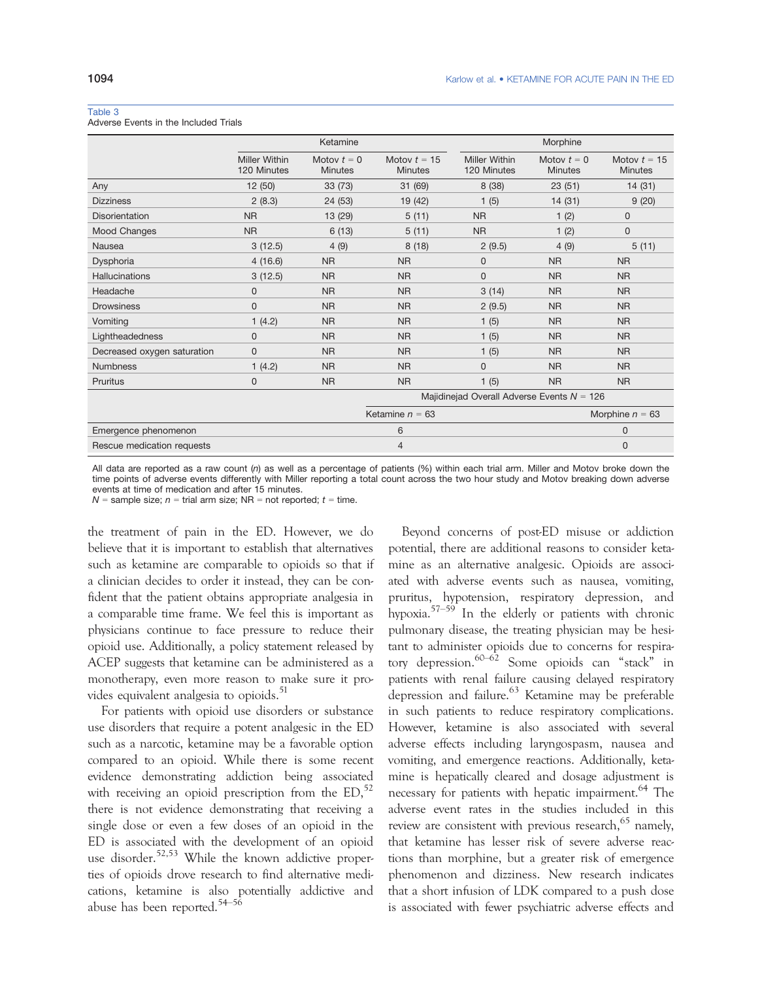#### Table 3

Adverse Events in the Included Trials

|                             |                                     | Ketamine                        |                                  |                                     | Morphine                                     |                                  |  |
|-----------------------------|-------------------------------------|---------------------------------|----------------------------------|-------------------------------------|----------------------------------------------|----------------------------------|--|
|                             | <b>Miller Within</b><br>120 Minutes | Motov $t = 0$<br><b>Minutes</b> | Motov $t = 15$<br><b>Minutes</b> | <b>Miller Within</b><br>120 Minutes | Motov $t = 0$<br><b>Minutes</b>              | Motov $t = 15$<br><b>Minutes</b> |  |
| Any                         | 12(50)                              | 33(73)                          | 31 (69)                          | 8 (38)                              | 23(51)                                       | 14(31)                           |  |
| <b>Dizziness</b>            | 2(8.3)                              | 24 (53)                         | 19 (42)                          | 1(5)                                | 14(31)                                       | 9(20)                            |  |
| Disorientation              | <b>NR</b>                           | 13 (29)                         | 5(11)                            | <b>NR</b>                           | 1(2)                                         | $\mathbf{0}$                     |  |
| Mood Changes                | <b>NR</b>                           | 6(13)                           | 5(11)                            | <b>NR</b>                           | 1(2)                                         | $\mathbf 0$                      |  |
| Nausea                      | 3(12.5)                             | 4(9)                            | 8(18)                            | 2(9.5)                              | 4(9)                                         | 5(11)                            |  |
| Dysphoria                   | 4(16.6)                             | <b>NR</b>                       | <b>NR</b>                        | $\mathbf{0}$                        | <b>NR</b>                                    | <b>NR</b>                        |  |
| <b>Hallucinations</b>       | 3(12.5)                             | <b>NR</b>                       | <b>NR</b>                        | $\mathbf{0}$                        | NR                                           | <b>NR</b>                        |  |
| Headache                    | $\Omega$                            | <b>NR</b>                       | N <sub>R</sub>                   | 3(14)                               | <b>NR</b>                                    | <b>NR</b>                        |  |
| <b>Drowsiness</b>           | $\Omega$                            | <b>NR</b>                       | <b>NR</b>                        | 2(9.5)                              | <b>NR</b>                                    | <b>NR</b>                        |  |
| Vomiting                    | 1(4.2)                              | <b>NR</b>                       | <b>NR</b>                        | 1(5)                                | NR                                           | <b>NR</b>                        |  |
| Lightheadedness             | $\mathbf{0}$                        | <b>NR</b>                       | <b>NR</b>                        | 1(5)                                | NR                                           | <b>NR</b>                        |  |
| Decreased oxygen saturation | $\mathbf{0}$                        | <b>NR</b>                       | <b>NR</b>                        | 1(5)                                | <b>NR</b>                                    | <b>NR</b>                        |  |
| <b>Numbness</b>             | 1(4.2)                              | <b>NR</b>                       | <b>NR</b>                        | $\Omega$                            | <b>NR</b>                                    | <b>NR</b>                        |  |
| Pruritus                    | $\mathbf 0$                         | <b>NR</b>                       | <b>NR</b>                        | 1(5)                                | N <sub>R</sub>                               | <b>NR</b>                        |  |
|                             |                                     |                                 |                                  |                                     | Majidinejad Overall Adverse Events $N = 126$ |                                  |  |
|                             |                                     |                                 | Ketamine $n = 63$                |                                     |                                              | Morphine $n = 63$                |  |
| Emergence phenomenon        |                                     |                                 | 6                                |                                     |                                              | $\overline{0}$                   |  |
| Rescue medication requests  |                                     | $\overline{4}$                  |                                  |                                     |                                              | $\overline{0}$                   |  |

All data are reported as a raw count  $(n)$  as well as a percentage of patients (%) within each trial arm. Miller and Motov broke down the time points of adverse events differently with Miller reporting a total count across the two hour study and Motov breaking down adverse events at time of medication and after 15 minutes.

 $N =$  sample size;  $n =$  trial arm size; NR = not reported;  $t =$  time.

the treatment of pain in the ED. However, we do believe that it is important to establish that alternatives such as ketamine are comparable to opioids so that if a clinician decides to order it instead, they can be confident that the patient obtains appropriate analgesia in a comparable time frame. We feel this is important as physicians continue to face pressure to reduce their opioid use. Additionally, a policy statement released by ACEP suggests that ketamine can be administered as a monotherapy, even more reason to make sure it provides equivalent analgesia to opioids.<sup>51</sup>

For patients with opioid use disorders or substance use disorders that require a potent analgesic in the ED such as a narcotic, ketamine may be a favorable option compared to an opioid. While there is some recent evidence demonstrating addiction being associated with receiving an opioid prescription from the  $ED$ ,  $52$ there is not evidence demonstrating that receiving a single dose or even a few doses of an opioid in the ED is associated with the development of an opioid use disorder.<sup>52,53</sup> While the known addictive properties of opioids drove research to find alternative medications, ketamine is also potentially addictive and abuse has been reported.<sup>54-56</sup>

Beyond concerns of post-ED misuse or addiction potential, there are additional reasons to consider ketamine as an alternative analgesic. Opioids are associated with adverse events such as nausea, vomiting, pruritus, hypotension, respiratory depression, and hypoxia.57–<sup>59</sup> In the elderly or patients with chronic pulmonary disease, the treating physician may be hesitant to administer opioids due to concerns for respiratory depression.60–<sup>62</sup> Some opioids can "stack" in patients with renal failure causing delayed respiratory depression and failure.<sup>63</sup> Ketamine may be preferable in such patients to reduce respiratory complications. However, ketamine is also associated with several adverse effects including laryngospasm, nausea and vomiting, and emergence reactions. Additionally, ketamine is hepatically cleared and dosage adjustment is necessary for patients with hepatic impairment.<sup>64</sup> The adverse event rates in the studies included in this review are consistent with previous research,  $65$  namely, that ketamine has lesser risk of severe adverse reactions than morphine, but a greater risk of emergence phenomenon and dizziness. New research indicates that a short infusion of LDK compared to a push dose is associated with fewer psychiatric adverse effects and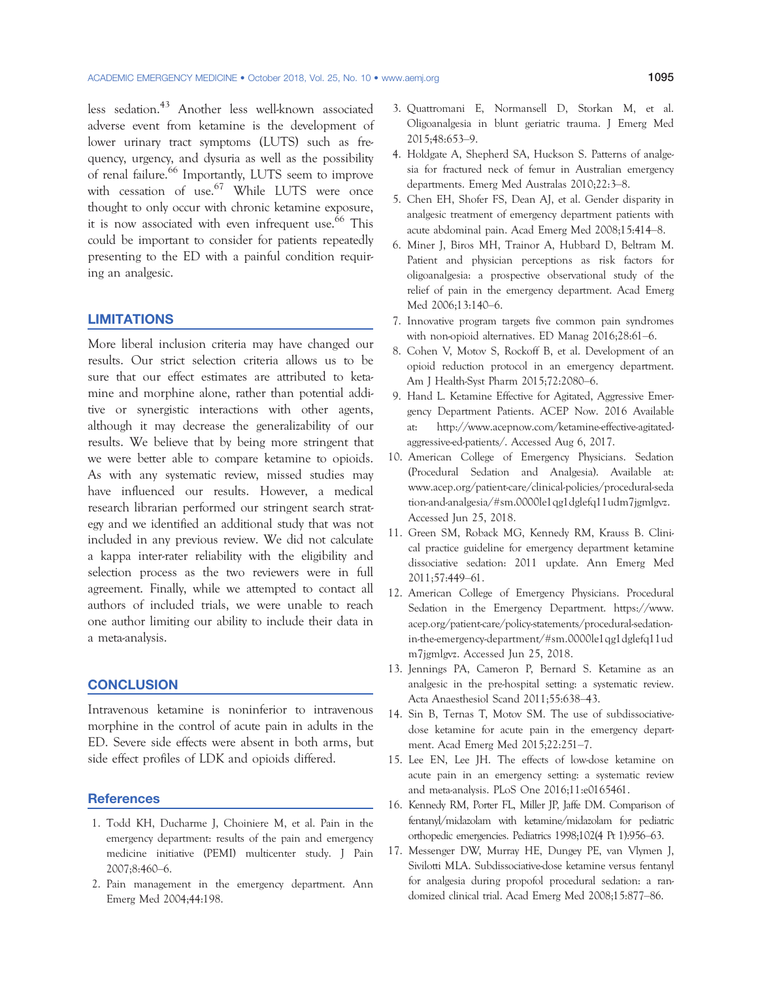less sedation.<sup>43</sup> Another less well-known associated adverse event from ketamine is the development of lower urinary tract symptoms (LUTS) such as frequency, urgency, and dysuria as well as the possibility of renal failure.<sup>66</sup> Importantly, LUTS seem to improve with cessation of use.<sup>67</sup> While LUTS were once thought to only occur with chronic ketamine exposure, it is now associated with even infrequent use. $66$  This could be important to consider for patients repeatedly presenting to the ED with a painful condition requiring an analgesic.

#### LIMITATIONS

More liberal inclusion criteria may have changed our results. Our strict selection criteria allows us to be sure that our effect estimates are attributed to ketamine and morphine alone, rather than potential additive or synergistic interactions with other agents, although it may decrease the generalizability of our results. We believe that by being more stringent that we were better able to compare ketamine to opioids. As with any systematic review, missed studies may have influenced our results. However, a medical research librarian performed our stringent search strategy and we identified an additional study that was not included in any previous review. We did not calculate a kappa inter-rater reliability with the eligibility and selection process as the two reviewers were in full agreement. Finally, while we attempted to contact all authors of included trials, we were unable to reach one author limiting our ability to include their data in a meta-analysis.

#### **CONCLUSION**

Intravenous ketamine is noninferior to intravenous morphine in the control of acute pain in adults in the ED. Severe side effects were absent in both arms, but side effect profiles of LDK and opioids differed.

#### **References**

- 1. Todd KH, Ducharme J, Choiniere M, et al. Pain in the emergency department: results of the pain and emergency medicine initiative (PEMI) multicenter study. J Pain 2007;8:460–6.
- 2. Pain management in the emergency department. Ann Emerg Med 2004;44:198.
- 3. Quattromani E, Normansell D, Storkan M, et al. Oligoanalgesia in blunt geriatric trauma. J Emerg Med 2015;48:653–9.
- 4. Holdgate A, Shepherd SA, Huckson S. Patterns of analgesia for fractured neck of femur in Australian emergency departments. Emerg Med Australas 2010;22:3–8.
- 5. Chen EH, Shofer FS, Dean AJ, et al. Gender disparity in analgesic treatment of emergency department patients with acute abdominal pain. Acad Emerg Med 2008;15:414–8.
- 6. Miner J, Biros MH, Trainor A, Hubbard D, Beltram M. Patient and physician perceptions as risk factors for oligoanalgesia: a prospective observational study of the relief of pain in the emergency department. Acad Emerg Med 2006;13:140–6.
- 7. Innovative program targets five common pain syndromes with non-opioid alternatives. ED Manag 2016;28:61–6.
- 8. Cohen V, Motov S, Rockoff B, et al. Development of an opioid reduction protocol in an emergency department. Am J Health-Syst Pharm 2015;72:2080–6.
- 9. Hand L. Ketamine Effective for Agitated, Aggressive Emergency Department Patients. ACEP Now. 2016 Available at: http://www.acepnow.com/ketamine-effective-agitatedaggressive-ed-patients/. Accessed Aug 6, 2017.
- 10. American College of Emergency Physicians. Sedation (Procedural Sedation and Analgesia). Available at: www.acep.org/patient-care/clinical-policies/procedural-seda tion-and-analgesia/#sm.0000le1qg1dglefq11udm7jgmlgvz. Accessed Jun 25, 2018.
- 11. Green SM, Roback MG, Kennedy RM, Krauss B. Clinical practice guideline for emergency department ketamine dissociative sedation: 2011 update. Ann Emerg Med 2011;57:449–61.
- 12. American College of Emergency Physicians. Procedural Sedation in the Emergency Department. https://www. acep.org/patient-care/policy-statements/procedural-sedationin-the-emergency-department/#sm.0000le1qg1dglefq11ud m7jgmlgvz. Accessed Jun 25, 2018.
- 13. Jennings PA, Cameron P, Bernard S. Ketamine as an analgesic in the pre-hospital setting: a systematic review. Acta Anaesthesiol Scand 2011;55:638–43.
- 14. Sin B, Ternas T, Motov SM. The use of subdissociativedose ketamine for acute pain in the emergency department. Acad Emerg Med 2015;22:251–7.
- 15. Lee EN, Lee JH. The effects of low-dose ketamine on acute pain in an emergency setting: a systematic review and meta-analysis. PLoS One 2016;11:e0165461.
- 16. Kennedy RM, Porter FL, Miller JP, Jaffe DM. Comparison of fentanyl/midazolam with ketamine/midazolam for pediatric orthopedic emergencies. Pediatrics 1998;102(4 Pt 1):956–63.
- 17. Messenger DW, Murray HE, Dungey PE, van Vlymen J, Sivilotti MLA. Subdissociative-dose ketamine versus fentanyl for analgesia during propofol procedural sedation: a randomized clinical trial. Acad Emerg Med 2008;15:877–86.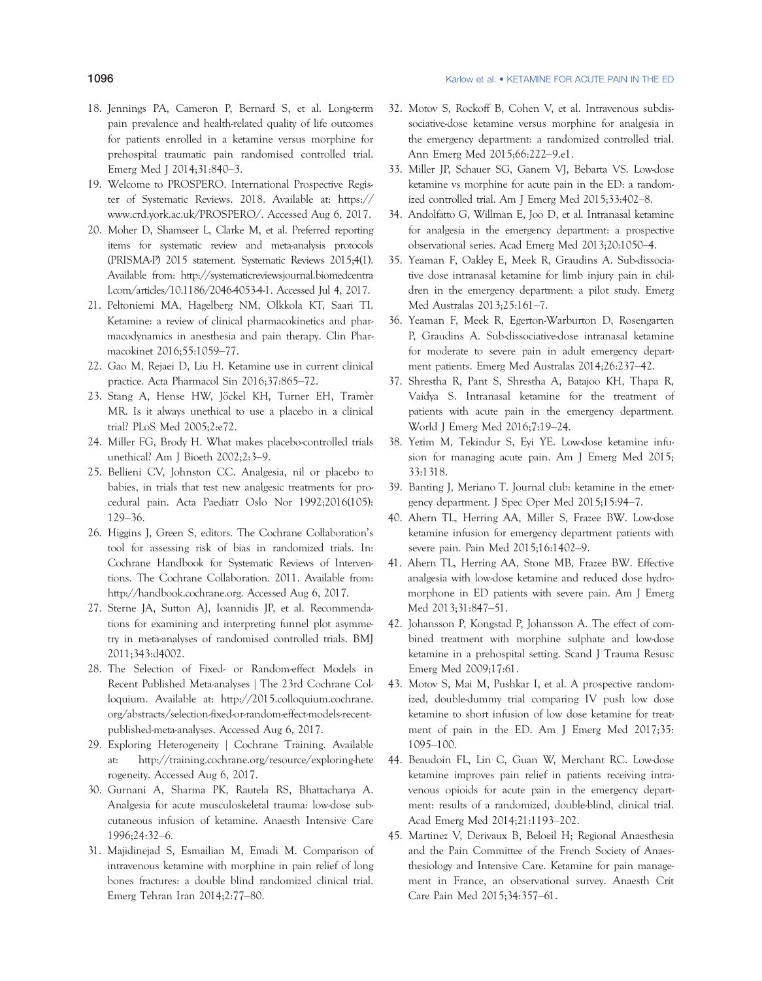- 18. Jennings PA, Cameron P, Bernard S, et al. Long-term pain prevalence and health-related quality of life outcomes for patients enrolled in a ketamine versus morphine for prehospital traumatic pain randomised controlled trial. Emerg Med J 2014;31:840–3.
- 19. Welcome to PROSPERO. International Prospective Register of Systematic Reviews. 2018. Available at: https:// www.crd.york.ac.uk/PROSPERO/. Accessed Aug 6, 2017.
- 20. Moher D, Shamseer L, Clarke M, et al. Preferred reporting items for systematic review and meta-analysis protocols (PRISMA-P) 2015 statement. Systematic Reviews 2015;4(1). Available from: http://systematicreviewsjournal.biomedcentra l.com/articles/10.1186/2046-4053-4-1. Accessed Jul 4, 2017.
- 21. Peltoniemi MA, Hagelberg NM, Olkkola KT, Saari TI. Ketamine: a review of clinical pharmacokinetics and pharmacodynamics in anesthesia and pain therapy. Clin Pharmacokinet 2016;55:1059–77.
- 22. Gao M, Rejaei D, Liu H. Ketamine use in current clinical practice. Acta Pharmacol Sin 2016;37:865–72.
- 23. Stang A, Hense HW, Jöckel KH, Turner EH, Tramèr MR. Is it always unethical to use a placebo in a clinical trial? PLoS Med 2005;2:e72.
- 24. Miller FG, Brody H. What makes placebo-controlled trials unethical? Am J Bioeth 2002;2:3–9.
- 25. Bellieni CV, Johnston CC. Analgesia, nil or placebo to babies, in trials that test new analgesic treatments for procedural pain. Acta Paediatr Oslo Nor 1992;2016(105): 129–36.
- 26. Higgins J, Green S, editors. The Cochrane Collaboration's tool for assessing risk of bias in randomized trials. In: Cochrane Handbook for Systematic Reviews of Interventions. The Cochrane Collaboration. 2011. Available from: http://handbook.cochrane.org. Accessed Aug 6, 2017.
- 27. Sterne JA, Sutton AJ, Ioannidis JP, et al. Recommendations for examining and interpreting funnel plot asymmetry in meta-analyses of randomised controlled trials. BMJ 2011;343:d4002.
- 28. The Selection of Fixed- or Random-effect Models in Recent Published Meta-analyses | The 23rd Cochrane Colloquium. Available at: http://2015.colloquium.cochrane. org/abstracts/selection-fixed-or-random-effect-models-recentpublished-meta-analyses. Accessed Aug 6, 2017.
- 29. Exploring Heterogeneity | Cochrane Training. Available at: http://training.cochrane.org/resource/exploring-hete rogeneity. Accessed Aug 6, 2017.
- 30. Gurnani A, Sharma PK, Rautela RS, Bhattacharya A. Analgesia for acute musculoskeletal trauma: low-dose subcutaneous infusion of ketamine. Anaesth Intensive Care 1996;24:32–6.
- 31. Majidinejad S, Esmailian M, Emadi M. Comparison of intravenous ketamine with morphine in pain relief of long bones fractures: a double blind randomized clinical trial. Emerg Tehran Iran 2014;2:77–80.
- 32. Motov S, Rockoff B, Cohen V, et al. Intravenous subdissociative-dose ketamine versus morphine for analgesia in the emergency department: a randomized controlled trial. Ann Emerg Med 2015;66:222–9.e1.
- 33. Miller JP, Schauer SG, Ganem VJ, Bebarta VS. Low-dose ketamine vs morphine for acute pain in the ED: a randomized controlled trial. Am J Emerg Med 2015;33:402–8.
- 34. Andolfatto G, Willman E, Joo D, et al. Intranasal ketamine for analgesia in the emergency department: a prospective observational series. Acad Emerg Med 2013;20:1050–4.
- 35. Yeaman F, Oakley E, Meek R, Graudins A. Sub-dissociative dose intranasal ketamine for limb injury pain in children in the emergency department: a pilot study. Emerg Med Australas 2013;25:161–7.
- 36. Yeaman F, Meek R, Egerton-Warburton D, Rosengarten P, Graudins A. Sub-dissociative-dose intranasal ketamine for moderate to severe pain in adult emergency department patients. Emerg Med Australas 2014;26:237–42.
- 37. Shrestha R, Pant S, Shrestha A, Batajoo KH, Thapa R, Vaidya S. Intranasal ketamine for the treatment of patients with acute pain in the emergency department. World J Emerg Med 2016;7:19–24.
- 38. Yetim M, Tekindur S, Eyi YE. Low-dose ketamine infusion for managing acute pain. Am J Emerg Med 2015; 33:1318.
- 39. Banting J, Meriano T. Journal club: ketamine in the emergency department. J Spec Oper Med 2015;15:94–7.
- 40. Ahern TL, Herring AA, Miller S, Frazee BW. Low-dose ketamine infusion for emergency department patients with severe pain. Pain Med 2015;16:1402–9.
- 41. Ahern TL, Herring AA, Stone MB, Frazee BW. Effective analgesia with low-dose ketamine and reduced dose hydromorphone in ED patients with severe pain. Am J Emerg Med 2013;31:847–51.
- 42. Johansson P, Kongstad P, Johansson A. The effect of combined treatment with morphine sulphate and low-dose ketamine in a prehospital setting. Scand J Trauma Resusc Emerg Med 2009;17:61.
- 43. Motov S, Mai M, Pushkar I, et al. A prospective randomized, double-dummy trial comparing IV push low dose ketamine to short infusion of low dose ketamine for treatment of pain in the ED. Am J Emerg Med 2017;35: 1095–100.
- 44. Beaudoin FL, Lin C, Guan W, Merchant RC. Low-dose ketamine improves pain relief in patients receiving intravenous opioids for acute pain in the emergency department: results of a randomized, double-blind, clinical trial. Acad Emerg Med 2014;21:1193–202.
- 45. Martinez V, Derivaux B, Beloeil H; Regional Anaesthesia and the Pain Committee of the French Society of Anaesthesiology and Intensive Care. Ketamine for pain management in France, an observational survey. Anaesth Crit Care Pain Med 2015;34:357–61.